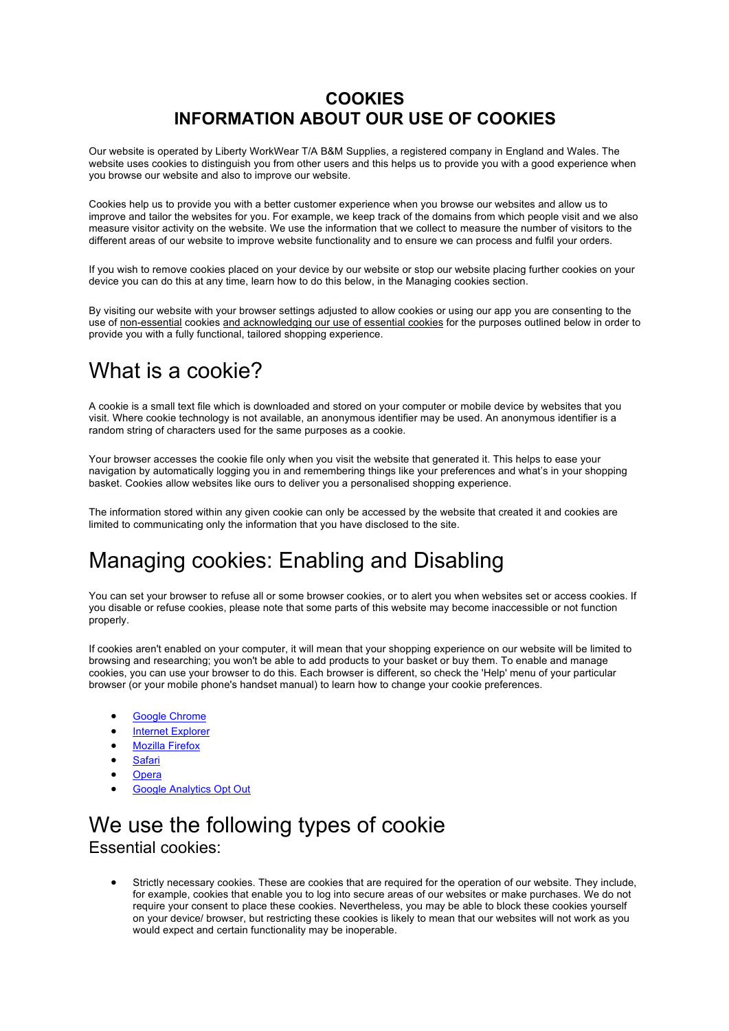## **COOKIES INFORMATION ABOUT OUR USE OF COOKIES**

Our website is operated by Liberty WorkWear T/A B&M Supplies, a registered company in England and Wales. The website uses cookies to distinguish you from other users and this helps us to provide you with a good experience when you browse our website and also to improve our website.

Cookies help us to provide you with a better customer experience when you browse our websites and allow us to improve and tailor the websites for you. For example, we keep track of the domains from which people visit and we also measure visitor activity on the website. We use the information that we collect to measure the number of visitors to the different areas of our website to improve website functionality and to ensure we can process and fulfil your orders.

If you wish to remove cookies placed on your device by our website or stop our website placing further cookies on your device you can do this at any time, learn how to do this below, in the Managing cookies section.

By visiting our website with your browser settings adjusted to allow cookies or using our app you are consenting to the use of non-essential cookies and acknowledging our use of essential cookies for the purposes outlined below in order to provide you with a fully functional, tailored shopping experience.

# What is a cookie?

A cookie is a small text file which is downloaded and stored on your computer or mobile device by websites that you visit. Where cookie technology is not available, an anonymous identifier may be used. An anonymous identifier is a random string of characters used for the same purposes as a cookie.

Your browser accesses the cookie file only when you visit the website that generated it. This helps to ease your navigation by automatically logging you in and remembering things like your preferences and what's in your shopping basket. Cookies allow websites like ours to deliver you a personalised shopping experience.

The information stored within any given cookie can only be accessed by the website that created it and cookies are limited to communicating only the information that you have disclosed to the site.

# Managing cookies: Enabling and Disabling

You can set your browser to refuse all or some browser cookies, or to alert you when websites set or access cookies. If you disable or refuse cookies, please note that some parts of this website may become inaccessible or not function properly.

If cookies aren't enabled on your computer, it will mean that your shopping experience on our website will be limited to browsing and researching; you won't be able to add products to your basket or buy them. To enable and manage cookies, you can use your browser to do this. Each browser is different, so check the 'Help' menu of your particular browser (or your mobile phone's handset manual) to learn how to change your cookie preferences.

- Google Chrome
- Internet Explorer
- Mozilla Firefox
- **Safari**
- **Opera**
- 
- Google Analytics Opt Out

## We use the following types of cookie Essential cookies:

• Strictly necessary cookies. These are cookies that are required for the operation of our website. They include, for example, cookies that enable you to log into secure areas of our websites or make purchases. We do not require your consent to place these cookies. Nevertheless, you may be able to block these cookies yourself on your device/ browser, but restricting these cookies is likely to mean that our websites will not work as you would expect and certain functionality may be inoperable.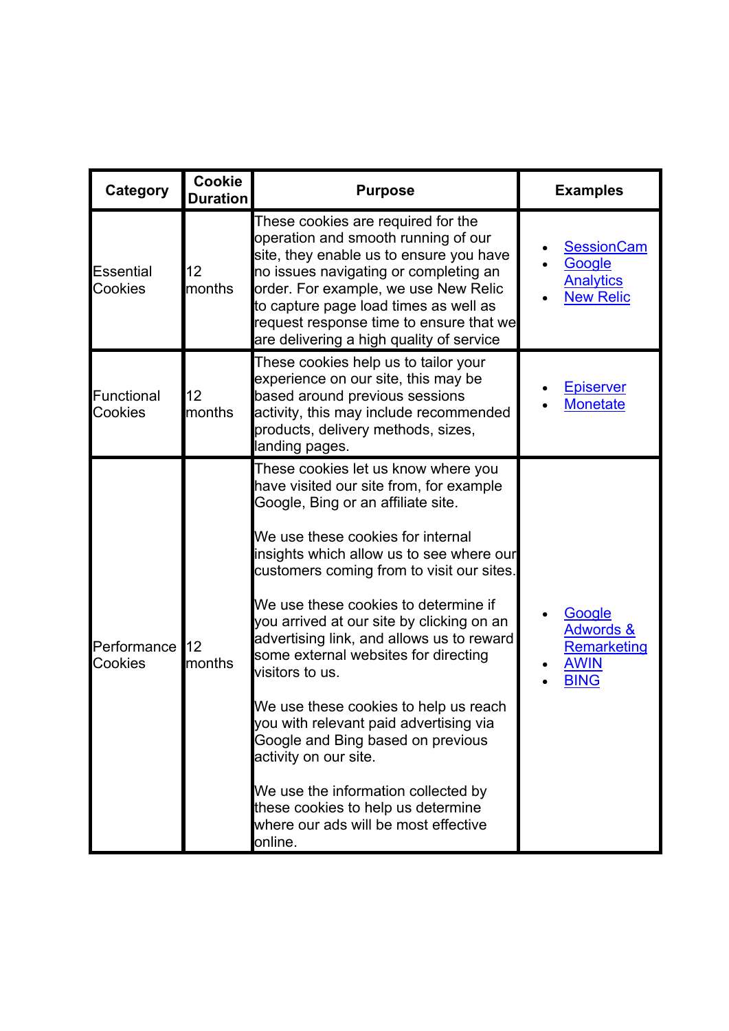| <b>Category</b>              | Cookie<br><b>Duration</b> | <b>Purpose</b>                                                                                                                                                                                                                                                                                                                                                                                                                                                                                                                                                                                                                                                                                                                   | <b>Examples</b>                                                             |
|------------------------------|---------------------------|----------------------------------------------------------------------------------------------------------------------------------------------------------------------------------------------------------------------------------------------------------------------------------------------------------------------------------------------------------------------------------------------------------------------------------------------------------------------------------------------------------------------------------------------------------------------------------------------------------------------------------------------------------------------------------------------------------------------------------|-----------------------------------------------------------------------------|
| <b>Essential</b><br>Cookies  | 12<br>months              | These cookies are required for the<br>operation and smooth running of our<br>site, they enable us to ensure you have<br>no issues navigating or completing an<br>order. For example, we use New Relic<br>to capture page load times as well as<br>request response time to ensure that we<br>are delivering a high quality of service                                                                                                                                                                                                                                                                                                                                                                                            | <b>SessionCam</b><br>Google<br><b>Analytics</b><br><b>New Relic</b>         |
| <b>Functional</b><br>Cookies | 12<br>months              | These cookies help us to tailor your<br>experience on our site, this may be<br>based around previous sessions<br>activity, this may include recommended<br>products, delivery methods, sizes,<br>landing pages.                                                                                                                                                                                                                                                                                                                                                                                                                                                                                                                  | <b>Episerver</b><br><b>Monetate</b>                                         |
| Performance<br>Cookies       | 12<br>months              | These cookies let us know where you<br>have visited our site from, for example<br>Google, Bing or an affiliate site.<br>We use these cookies for internal<br>insights which allow us to see where our<br>customers coming from to visit our sites.<br>We use these cookies to determine if<br>you arrived at our site by clicking on an<br>advertising link, and allows us to reward<br>some external websites for directing<br>visitors to us.<br>We use these cookies to help us reach<br>you with relevant paid advertising via<br>Google and Bing based on previous<br>activity on our site.<br>We use the information collected by<br>these cookies to help us determine<br>where our ads will be most effective<br>online. | Google<br><b>Adwords &amp;</b><br>Remarketing<br><b>AWIN</b><br><b>BING</b> |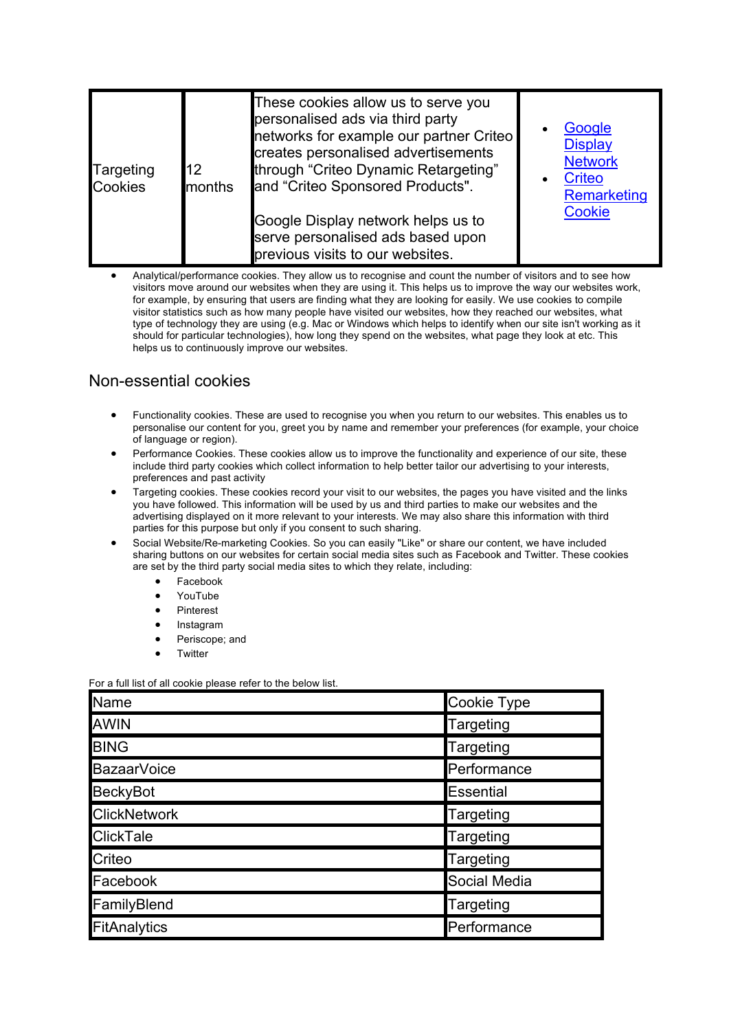| 12<br>Targeting<br><b>Cookies</b> | months | These cookies allow us to serve you<br>personalised ads via third party<br>networks for example our partner Criteo<br>creates personalised advertisements<br>through "Criteo Dynamic Retargeting"<br>and "Criteo Sponsored Products".<br>Google Display network helps us to<br>serve personalised ads based upon<br>previous visits to our websites. |  | Google<br><b>Display</b><br><b>Network</b><br><b>Criteo</b><br>Remarketing<br>Cookie |
|-----------------------------------|--------|------------------------------------------------------------------------------------------------------------------------------------------------------------------------------------------------------------------------------------------------------------------------------------------------------------------------------------------------------|--|--------------------------------------------------------------------------------------|
|-----------------------------------|--------|------------------------------------------------------------------------------------------------------------------------------------------------------------------------------------------------------------------------------------------------------------------------------------------------------------------------------------------------------|--|--------------------------------------------------------------------------------------|

• Analytical/performance cookies. They allow us to recognise and count the number of visitors and to see how visitors move around our websites when they are using it. This helps us to improve the way our websites work, for example, by ensuring that users are finding what they are looking for easily. We use cookies to compile visitor statistics such as how many people have visited our websites, how they reached our websites, what type of technology they are using (e.g. Mac or Windows which helps to identify when our site isn't working as it should for particular technologies), how long they spend on the websites, what page they look at etc. This helps us to continuously improve our websites.

### Non-essential cookies

- Functionality cookies. These are used to recognise you when you return to our websites. This enables us to personalise our content for you, greet you by name and remember your preferences (for example, your choice of language or region).
- Performance Cookies. These cookies allow us to improve the functionality and experience of our site, these include third party cookies which collect information to help better tailor our advertising to your interests, preferences and past activity
- Targeting cookies. These cookies record your visit to our websites, the pages you have visited and the links you have followed. This information will be used by us and third parties to make our websites and the advertising displayed on it more relevant to your interests. We may also share this information with third parties for this purpose but only if you consent to such sharing.
- Social Website/Re-marketing Cookies. So you can easily "Like" or share our content, we have included sharing buttons on our websites for certain social media sites such as Facebook and Twitter. These cookies are set by the third party social media sites to which they relate, including:
	- Facebook
	- YouTube
	- Pinterest
	- **Instagram**
	- Periscope; and
	- **Twitter**

For a full list of all cookie please refer to the below list.

| Name                | Cookie Type      |
|---------------------|------------------|
| <b>AWIN</b>         | <b>Targeting</b> |
| <b>BING</b>         | <b>Targeting</b> |
| BazaarVoice         | Performance      |
| <b>BeckyBot</b>     | Essential        |
| <b>ClickNetwork</b> | <b>Targeting</b> |
| <b>ClickTale</b>    | Targeting        |
| Criteo              | <b>Targeting</b> |
| Facebook            | Social Media     |
| FamilyBlend         | Targeting        |
| FitAnalytics        | Performance      |